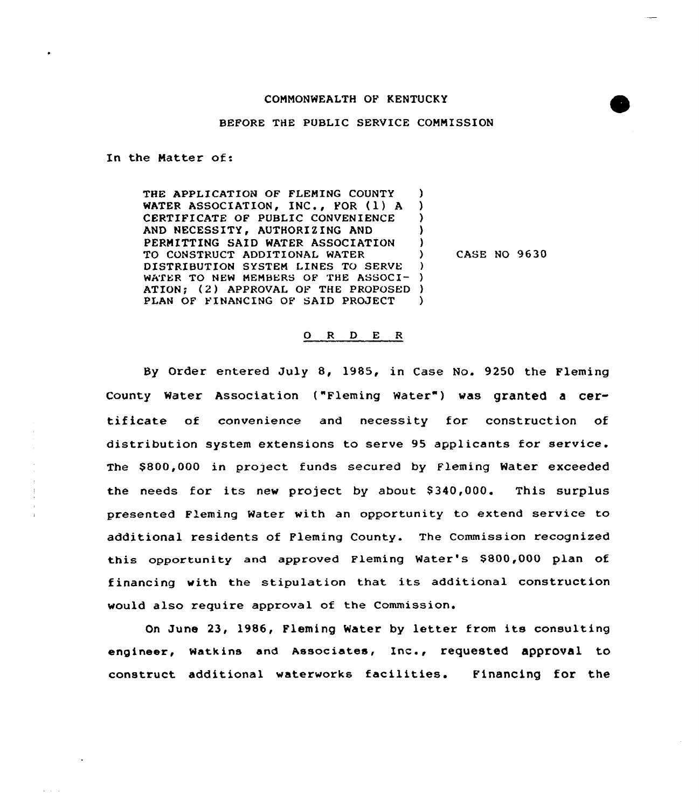## BEFORE THE PUBLIC SERVICE COMMISSION

In the Matter of:

THE APPLICATION OF FLEMING COUNTY WATER ASSOCIATION, INC., FOR (1) A CERTIFICATE OF PUBLIC CONVENIENCE AND NECESSITY, AUTHORIZING AND PERMITTING SAID WATER ASSOCIATION TO CONSTRUCT ADDITIONAL WATER DISTRIBUTION SYSTEM LINES TO SERVE WATER TO NEW MEMBERS OF THE ASSOCI- ) ATION; (2) APPROVAL OF THE PROPOSED PLAN OF FINANCING OF SAID PROJECT )  $\lambda$ ) ) ) ) )

) CASE NO 9630

## O R D E R

By Order entered July 8, 1985, in Case No. 9250 the Fleming County Water Association ("Fleming Water") was granted a certificate of convenience and necessity for construction of distribution system extensions to serve 95 applicants for service. The \$800,000 in project funds secured by Fleming Water exceeded the needs for its new project by about \$340,000. This surplus presented Fleming Water with an opportunity to extend service to additional residents of Fleming County. The Commission recognized this opportunity and approved Fleming Water's S800,000 plan of financing with the stipulation that its additional construction would also require approval of the Commission.

On June 23, 1986, Fleming Water by letter from its consulting engineer, watkins and Associates, Inc., requested approval to construct additional waterworks facilities. Financing for the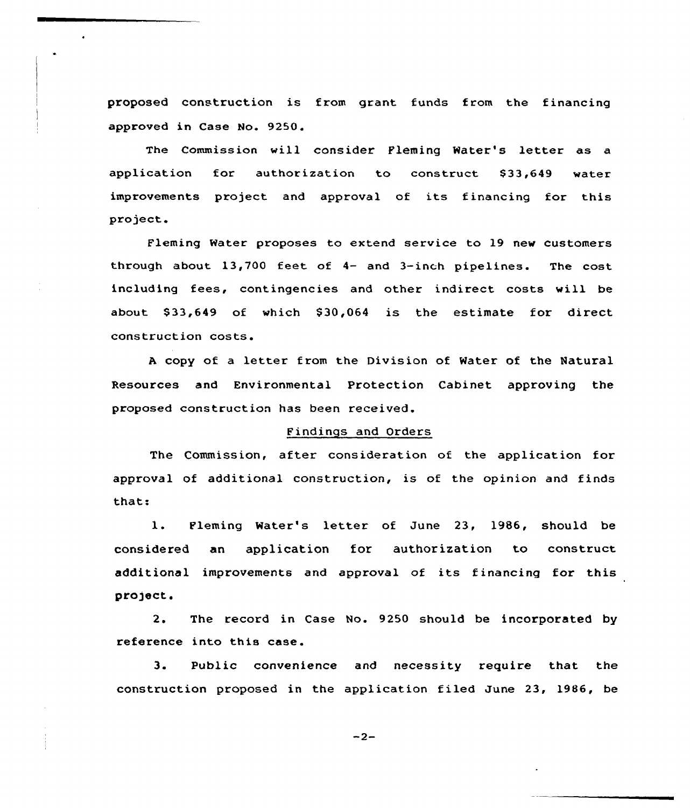proposed construction is from grant. funds from the financing approved in Case No. 9250.

 $\bullet$ 

The Commission will consider Fleming Water's letter as a application for authorization to construct \$33,649 water improvements project and approval of its financing for this project.

Fleming Water proposes to extend service to 19 new customers through about 13,700 feet of 4- and 3-inch pipelines. The cost including fees, contingencies and other indirect costs will be about \$33,649 of which \$30,064 is the estimate for direct construction costs.

<sup>A</sup> copy of a letter from the Division of Water of the Natural Resources and Environmental Protection Cabinet approving the proposed construction has been received.

## Findings and Orders

The Commission, after consideration of the application for approval of additional construction, is of the opinion and finds that:

1. Fleming Water's letter of June 23, 1986, should be considered an application for authorization to construct additional improvements and approval of its financing for this project.

2. The record in Case No. 9250 should be incorporated by reference into this case.

3. Public convenience and necessity require that the construction proposed in the application filed June 23, 1986, be

 $-2-$